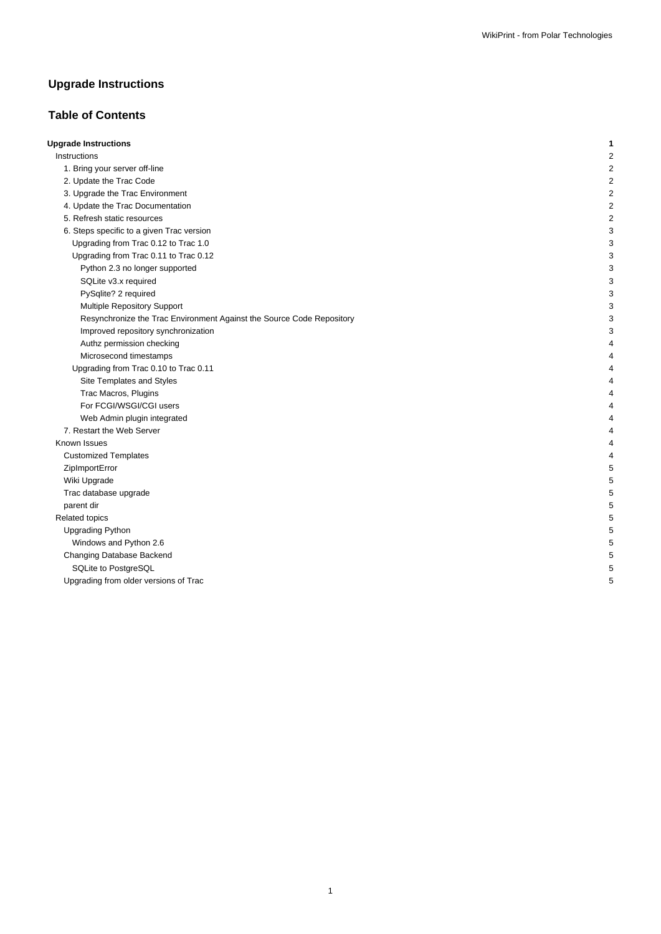# **Upgrade Instructions**

## **Table of Contents**

| <b>Upgrade Instructions</b>                                           |  |
|-----------------------------------------------------------------------|--|
| Instructions                                                          |  |
| 1. Bring your server off-line                                         |  |
| 2. Update the Trac Code                                               |  |
| 3. Upgrade the Trac Environment                                       |  |
| 4. Update the Trac Documentation                                      |  |
| 5. Refresh static resources                                           |  |
| 6. Steps specific to a given Trac version                             |  |
| Upgrading from Trac 0.12 to Trac 1.0                                  |  |
| Upgrading from Trac 0.11 to Trac 0.12                                 |  |
| Python 2.3 no longer supported                                        |  |
| SQLite v3.x required                                                  |  |
| PySqlite? 2 required                                                  |  |
| <b>Multiple Repository Support</b>                                    |  |
| Resynchronize the Trac Environment Against the Source Code Repository |  |
| Improved repository synchronization                                   |  |
| Authz permission checking                                             |  |
| Microsecond timestamps                                                |  |
| Upgrading from Trac 0.10 to Trac 0.11                                 |  |
| Site Templates and Styles                                             |  |
| Trac Macros, Plugins                                                  |  |
| For FCGI/WSGI/CGI users                                               |  |
| Web Admin plugin integrated                                           |  |
| 7. Restart the Web Server                                             |  |
| Known Issues                                                          |  |
| <b>Customized Templates</b>                                           |  |
| ZipImportError                                                        |  |
| Wiki Upgrade                                                          |  |
| Trac database upgrade                                                 |  |
| parent dir                                                            |  |
| Related topics                                                        |  |
| <b>Upgrading Python</b>                                               |  |
| Windows and Python 2.6                                                |  |
| Changing Database Backend                                             |  |
| SQLite to PostgreSQL                                                  |  |
| Upgrading from older versions of Trac                                 |  |
|                                                                       |  |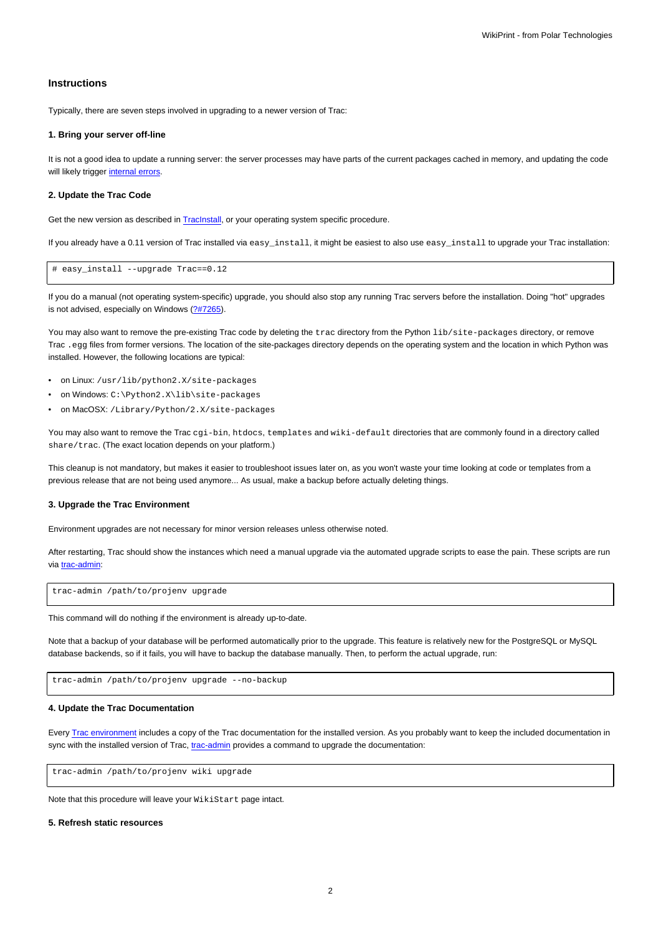## **Instructions**

Typically, there are seven steps involved in upgrading to a newer version of Trac:

#### **1. Bring your server off-line**

It is not a good idea to update a running server: the server processes may have parts of the current packages cached in memory, and updating the code will likely trigger [internal errors](https://meteo.unican.es/trac/wiki/TracUpgrade#ZipImportError).

#### **2. Update the Trac Code**

Get the new version as described in **[TracInstall](https://meteo.unican.es/trac/wiki/TracInstall)**, or your operating system specific procedure.

If you already have a 0.11 version of Trac installed via easy\_install, it might be easiest to also use easy\_install to upgrade your Trac installation:

# easy\_install --upgrade Trac==0.12

If you do a manual (not operating system-specific) upgrade, you should also stop any running Trac servers before the installation. Doing "hot" upgrades is not advised, especially on Windows ([?#7265](http://trac.edgewall.org/intertrac/%237265)).

You may also want to remove the pre-existing Trac code by deleting the trac directory from the Python lib/site-packages directory, or remove Trac .egg files from former versions. The location of the site-packages directory depends on the operating system and the location in which Python was installed. However, the following locations are typical:

- on Linux: /usr/lib/python2.X/site-packages
- on Windows: C:\Python2.X\lib\site-packages
- on MacOSX: /Library/Python/2.X/site-packages

You may also want to remove the Trac cgi-bin, htdocs, templates and wiki-default directories that are commonly found in a directory called share/trac. (The exact location depends on your platform.)

This cleanup is not mandatory, but makes it easier to troubleshoot issues later on, as you won't waste your time looking at code or templates from a previous release that are not being used anymore... As usual, make a backup before actually deleting things.

## **3. Upgrade the Trac Environment**

Environment upgrades are not necessary for minor version releases unless otherwise noted.

After restarting, Trac should show the instances which need a manual upgrade via the automated upgrade scripts to ease the pain. These scripts are run via [trac-admin:](https://meteo.unican.es/trac/wiki/TracAdmin)

trac-admin /path/to/projenv upgrade

This command will do nothing if the environment is already up-to-date.

Note that a backup of your database will be performed automatically prior to the upgrade. This feature is relatively new for the PostgreSQL or MySQL database backends, so if it fails, you will have to backup the database manually. Then, to perform the actual upgrade, run:

trac-admin /path/to/projenv upgrade --no-backup

#### **4. Update the Trac Documentation**

Every [Trac environment](https://meteo.unican.es/trac/wiki/TracEnvironment) includes a copy of the Trac documentation for the installed version. As you probably want to keep the included documentation in sync with the installed version of Trac, [trac-admin](https://meteo.unican.es/trac/wiki/TracAdmin) provides a command to upgrade the documentation:

trac-admin /path/to/projenv wiki upgrade

Note that this procedure will leave your WikiStart page intact.

## **5. Refresh static resources**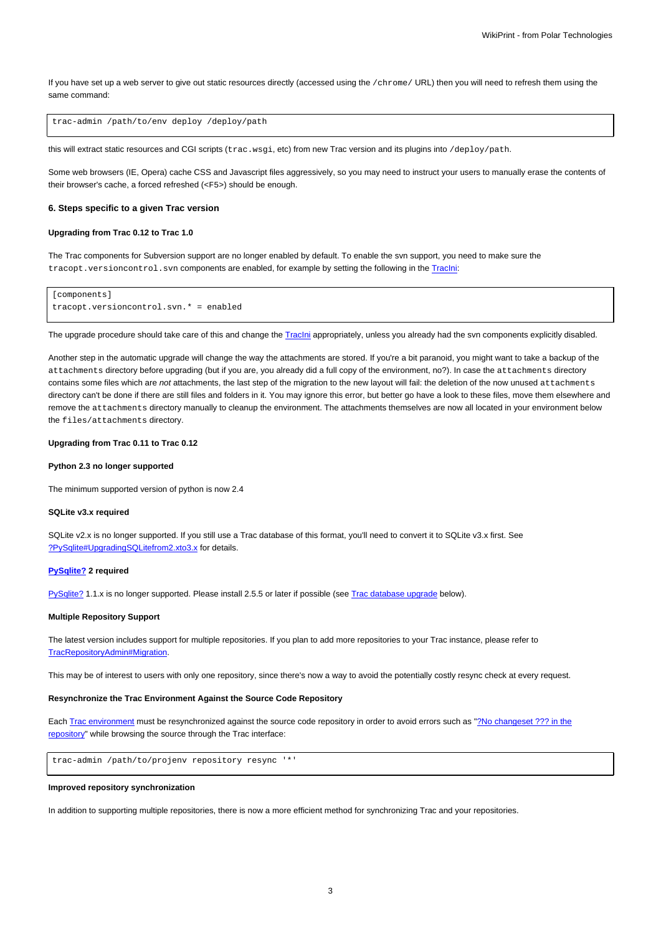If you have set up a web server to give out static resources directly (accessed using the /chrome/ URL) then you will need to refresh them using the same command:

trac-admin /path/to/env deploy /deploy/path

this will extract static resources and CGI scripts (trac.wsgi, etc) from new Trac version and its plugins into /deploy/path.

Some web browsers (IE, Opera) cache CSS and Javascript files aggressively, so you may need to instruct your users to manually erase the contents of their browser's cache, a forced refreshed (<F5>) should be enough.

#### **6. Steps specific to a given Trac version**

#### **Upgrading from Trac 0.12 to Trac 1.0**

The Trac components for Subversion support are no longer enabled by default. To enable the svn support, you need to make sure the tracopt.versioncontrol.svn components are enabled, for example by setting the following in the [TracIni:](https://meteo.unican.es/trac/wiki/TracIni)

```
[components]
tracopt.versioncontrol.svn.* = enabled
```
The upgrade procedure should take care of this and change the Traclni appropriately, unless you already had the svn components explicitly disabled.

Another step in the automatic upgrade will change the way the attachments are stored. If you're a bit paranoid, you might want to take a backup of the attachments directory before upgrading (but if you are, you already did a full copy of the environment, no?). In case the attachments directory contains some files which are not attachments, the last step of the migration to the new layout will fail: the deletion of the now unused attachments directory can't be done if there are still files and folders in it. You may ignore this error, but better go have a look to these files, move them elsewhere and remove the attachments directory manually to cleanup the environment. The attachments themselves are now all located in your environment below the files/attachments directory.

#### **Upgrading from Trac 0.11 to Trac 0.12**

## **Python 2.3 no longer supported**

The minimum supported version of python is now 2.4

#### **SQLite v3.x required**

SQLite v2.x is no longer supported. If you still use a Trac database of this format, you'll need to convert it to SQLite v3.x first. See [?PySqlite#UpgradingSQLitefrom2.xto3.x](http://trac.edgewall.org/intertrac/PySqlite%23UpgradingSQLitefrom2.xto3.x) for details.

#### **PySqlite? 2 required**

PySqlite? 1.1.x is no longer supported. Please install 2.5.5 or later if possible (see [Trac database upgrade](https://meteo.unican.es/trac/wiki/TracUpgrade#Tracdatabaseupgrade) below).

#### **Multiple Repository Support**

The latest version includes support for multiple repositories. If you plan to add more repositories to your Trac instance, please refer to [TracRepositoryAdmin#Migration.](https://meteo.unican.es/trac/wiki/TracRepositoryAdmin#Migration)

This may be of interest to users with only one repository, since there's now a way to avoid the potentially costly resync check at every request.

## **Resynchronize the Trac Environment Against the Source Code Repository**

Each [Trac environment](https://meteo.unican.es/trac/wiki/TracEnvironment) must be resynchronized against the source code repository in order to avoid errors such as "[?No changeset ??? in the](http://trac.edgewall.org/ticket/6120) [repository](http://trac.edgewall.org/ticket/6120)" while browsing the source through the Trac interface:

trac-admin /path/to/projenv repository resync '\*'

#### **Improved repository synchronization**

In addition to supporting multiple repositories, there is now a more efficient method for synchronizing Trac and your repositories.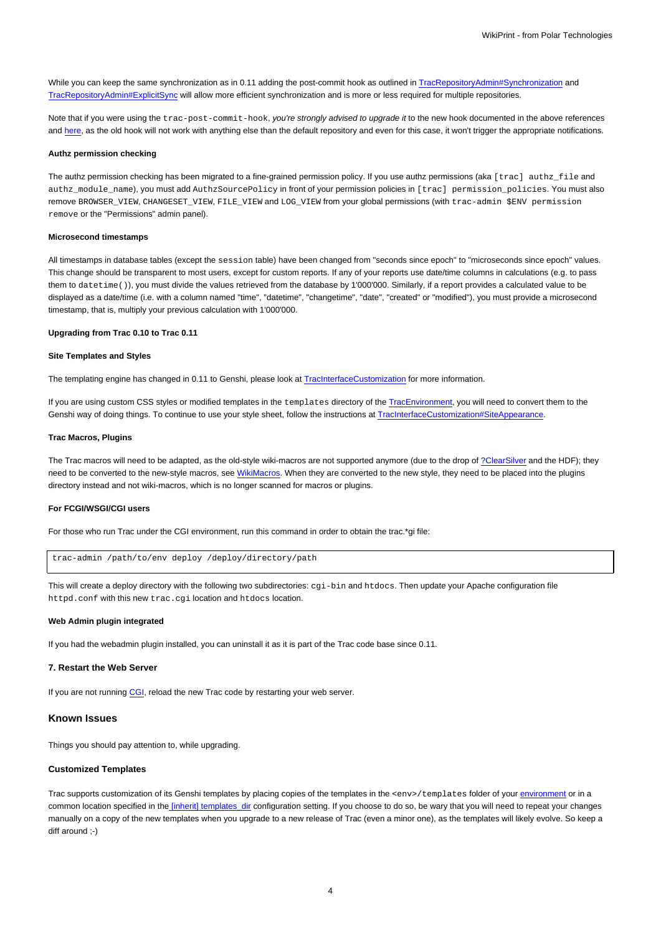While you can keep the same synchronization as in 0.11 adding the post-commit hook as outlined in [TracRepositoryAdmin#Synchronization](https://meteo.unican.es/trac/wiki/TracRepositoryAdmin#Synchronization) and [TracRepositoryAdmin#ExplicitSync](https://meteo.unican.es/trac/wiki/TracRepositoryAdmin#ExplicitSync) will allow more efficient synchronization and is more or less required for multiple repositories.

Note that if you were using the trac-post-commit-hook, you're strongly advised to upgrade it to the new hook documented in the above references and [here](https://meteo.unican.es/trac/wiki/TracWorkflow#Howtocombinethetracopt.ticket.commit_updaterwiththetestingworkflow), as the old hook will not work with anything else than the default repository and even for this case, it won't trigger the appropriate notifications.

#### **Authz permission checking**

The authz permission checking has been migrated to a fine-grained permission policy. If you use authz permissions (aka [trac] authz\_file and authz\_module\_name), you must add AuthzSourcePolicy in front of your permission policies in [trac] permission\_policies. You must also remove BROWSER\_VIEW, CHANGESET\_VIEW, FILE\_VIEW and LOG\_VIEW from your global permissions (with trac-admin \$ENV permission remove or the "Permissions" admin panel).

## **Microsecond timestamps**

All timestamps in database tables (except the session table) have been changed from "seconds since epoch" to "microseconds since epoch" values. This change should be transparent to most users, except for custom reports. If any of your reports use date/time columns in calculations (e.g. to pass them to datetime()), you must divide the values retrieved from the database by 1'000'000. Similarly, if a report provides a calculated value to be displayed as a date/time (i.e. with a column named "time", "datetime", "changetime", "date", "created" or "modified"), you must provide a microsecond timestamp, that is, multiply your previous calculation with 1'000'000.

## **Upgrading from Trac 0.10 to Trac 0.11**

#### **Site Templates and Styles**

The templating engine has changed in 0.11 to Genshi, please look at [TracInterfaceCustomization](https://meteo.unican.es/trac/wiki/TracInterfaceCustomization) for more information.

If you are using custom CSS styles or modified templates in the templates directory of the [TracEnvironment](https://meteo.unican.es/trac/wiki/TracEnvironment), you will need to convert them to the Genshi way of doing things. To continue to use your style sheet, follow the instructions at [TracInterfaceCustomization#SiteAppearance.](https://meteo.unican.es/trac/wiki/TracInterfaceCustomization#SiteAppearance)

#### **Trac Macros, Plugins**

The Trac macros will need to be adapted, as the old-style wiki-macros are not supported anymore (due to the drop of [?ClearSilver](http://trac.edgewall.org/intertrac/ClearSilver) and the HDF); they need to be converted to the new-style macros, see [WikiMacros](https://meteo.unican.es/trac/wiki/WikiMacros). When they are converted to the new style, they need to be placed into the plugins directory instead and not wiki-macros, which is no longer scanned for macros or plugins.

## **For FCGI/WSGI/CGI users**

For those who run Trac under the CGI environment, run this command in order to obtain the trac.\*gi file:

```
trac-admin /path/to/env deploy /deploy/directory/path
```
This will create a deploy directory with the following two subdirectories: cgi-bin and htdocs. Then update your Apache configuration file httpd.conf with this new trac.cgi location and htdocs location.

#### **Web Admin plugin integrated**

If you had the webadmin plugin installed, you can uninstall it as it is part of the Trac code base since 0.11.

#### **7. Restart the Web Server**

If you are not running [CGI,](https://meteo.unican.es/trac/wiki/TracCgi) reload the new Trac code by restarting your web server.

#### **Known Issues**

Things you should pay attention to, while upgrading.

#### **Customized Templates**

Trac supports customization of its Genshi templates by placing copies of the templates in the <env>/templates folder of your [environment](https://meteo.unican.es/trac/wiki/TracEnvironment) or in a common location specified in th[e \[inherit\] templates\\_dir](https://meteo.unican.es/trac/wiki/TracIni#GlobalConfiguration) configuration setting. If you choose to do so, be wary that you will need to repeat your changes manually on a copy of the new templates when you upgrade to a new release of Trac (even a minor one), as the templates will likely evolve. So keep a diff around ;-)